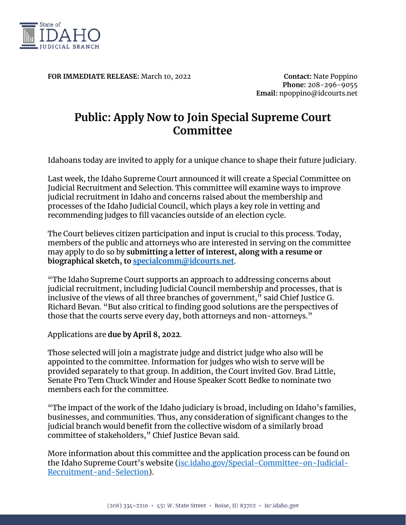

**FOR IMMEDIATE RELEASE:** March 10, 2022 **Contact:** Nate Poppino

**Phone:** 208-296-9055 **Email:** npoppino@idcourts.net

## **Public: Apply Now to Join Special Supreme Court Committee**

Idahoans today are invited to apply for a unique chance to shape their future judiciary.

Last week, the Idaho Supreme Court announced it will create a Special Committee on Judicial Recruitment and Selection. This committee will examine ways to improve judicial recruitment in Idaho and concerns raised about the membership and processes of the Idaho Judicial Council, which plays a key role in vetting and recommending judges to fill vacancies outside of an election cycle.

The Court believes citizen participation and input is crucial to this process. Today, members of the public and attorneys who are interested in serving on the committee may apply to do so by **submitting a letter of interest, along with a resume or biographical sketch, to [specialcomm@idcourts.net](mailto:specialcomm@idcourts.net)**.

"The Idaho Supreme Court supports an approach to addressing concerns about judicial recruitment, including Judicial Council membership and processes, that is inclusive of the views of all three branches of government," said Chief Justice G. Richard Bevan. "But also critical to finding good solutions are the perspectives of those that the courts serve every day, both attorneys and non-attorneys."

Applications are **due by April 8, 2022**.

Those selected will join a magistrate judge and district judge who also will be appointed to the committee. Information for judges who wish to serve will be provided separately to that group. In addition, the Court invited Gov. Brad Little, Senate Pro Tem Chuck Winder and House Speaker Scott Bedke to nominate two members each for the committee.

"The impact of the work of the Idaho judiciary is broad, including on Idaho's families, businesses, and communities. Thus, any consideration of significant changes to the judicial branch would benefit from the collective wisdom of a similarly broad committee of stakeholders," Chief Justice Bevan said.

More information about this committee and the application process can be found on the Idaho Supreme Court's website [\(isc.idaho.gov/Special-Committee-on-Judicial-](https://isc.idaho.gov/Special-Committee-on-Judicial-Recruitment-and-Selection)[Recruitment-and-Selection\)](https://isc.idaho.gov/Special-Committee-on-Judicial-Recruitment-and-Selection).